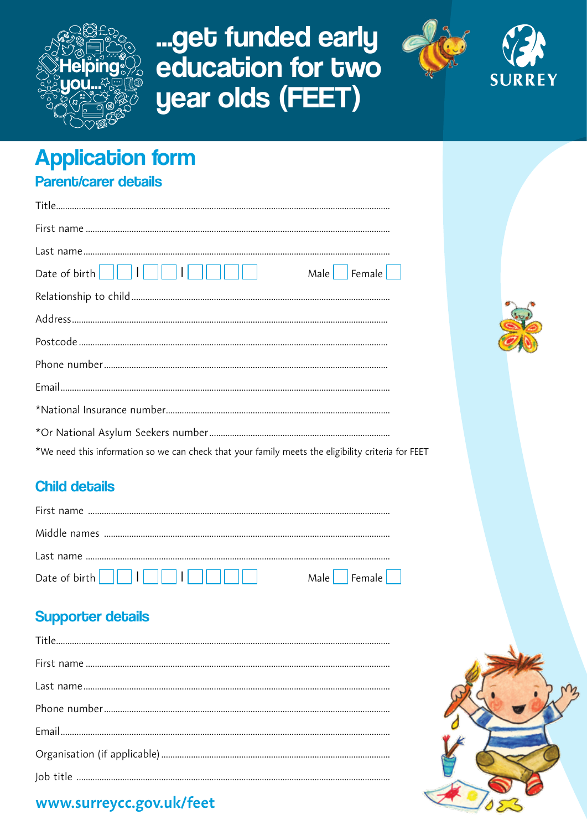

# ... get funded early education for two year olds (FEET)



# **Application form** Parent/carer details

| $Male \nvert$ Female $\vert$ $\vert$                                                               |
|----------------------------------------------------------------------------------------------------|
|                                                                                                    |
|                                                                                                    |
|                                                                                                    |
|                                                                                                    |
|                                                                                                    |
|                                                                                                    |
|                                                                                                    |
| *We need this information so we can check that your family meets the eligibility criteria for FEET |

## **Child details**

| Male Female |
|-------------|

## **Supporter details**



## www.surreycc.gov.uk/feet